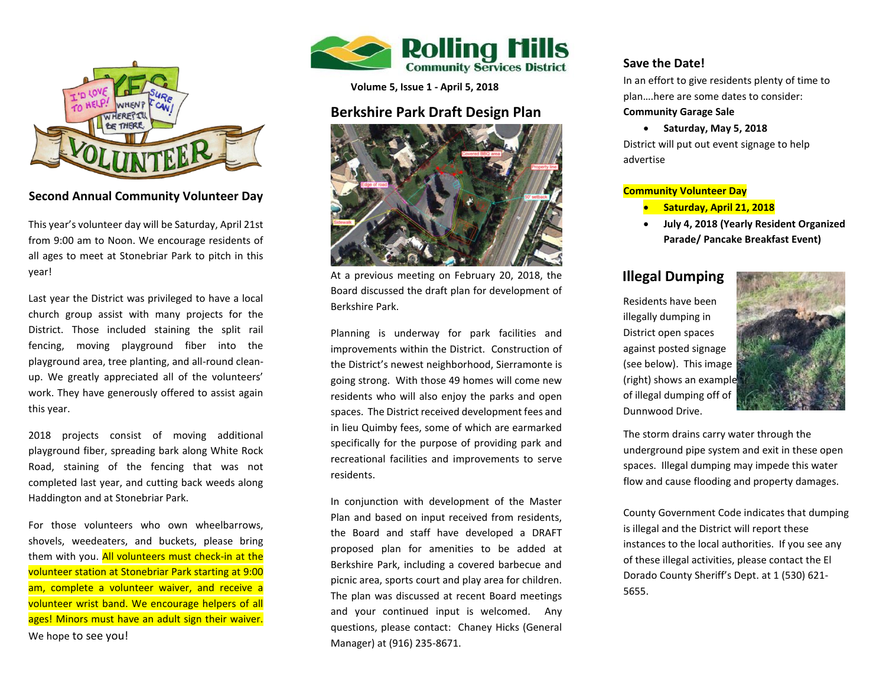

## **Second Annual Community Volunteer Day**

This year's volunteer day will be Saturday, April 21st from 9:00 am to Noon. We encourage residents of all ages to meet at Stonebriar Park to pitch in this year!

work. They have generously offered to assist again<br>... Last year the District was privileged to have a local church group assist with many projects for the District. Those included staining the split rail fencing, moving playground fiber into the playground area, tree planting, and all-round cleanup. We greatly appreciated all of the volunteers' this year.

 playground fiber, spreading bark along White Rock  Haddington and at Stonebriar Park. 2018 projects consist of moving additional Road, staining of the fencing that was not completed last year, and cutting back weeds along

 For those volunteers who own wheelbarrows,  volunteer wrist band. We encourage helpers of all shovels, weedeaters, and buckets, please bring them with you. All volunteers must check-in at the volunteer station at Stonebriar Park starting at 9:00 am, complete a volunteer waiver, and receive a ages! Minors must have an adult sign their waiver. We hope to see you!



**Volume 5, Issue 1 - April 5, 2018**

## **Berkshire Park Draft Design Plan**



At a previous meeting on February 20, 2018, the Board discussed the draft plan for development of Berkshire Park.

Planning is underway for park facilities and improvements within the District. Construction of the District's newest neighborhood, Sierramonte is going strong. With those 49 homes will come new residents who will also enjoy the parks and open spaces. The District received development fees and in lieu Quimby fees, some of which are earmarked specifically for the purpose of providing park and recreational facilities and improvements to serve residents.

In conjunction with development of the Master Plan and based on input received from residents, the Board and staff have developed a DRAFT proposed plan for amenities to be added at Berkshire Park, including a covered barbecue and picnic area, sports court and play area for children. The plan was discussed at recent Board meetings and your continued input is welcomed. Any questions, please contact: Chaney Hicks (General Manager) at (916) 235-8671.

## **Save the Date!**

In an effort to give residents plenty of time to plan….here are some dates to consider:

### **Community Garage Sale**

**Saturday, May 5, 2018**

District will put out event signage to help advertise

### **Community Volunteer Day**

- **Saturday, April 21, 2018**
- **July 4, 2018 (Yearly Resident Organized Parade/ Pancake Breakfast Event)**

## **Illegal Dumping**

Residents have been illegally dumping in District open spaces against posted signage (see below). This image (right) shows an example of illegal dumping off of Dunnwood Drive.



The storm drains carry water through the underground pipe system and exit in these open spaces. Illegal dumping may impede this water flow and cause flooding and property damages.

County Government Code indicates that dumping is illegal and the District will report these instances to the local authorities. If you see any of these illegal activities, please contact the El Dorado County Sheriff's Dept. at 1 (530) 621- 5655.